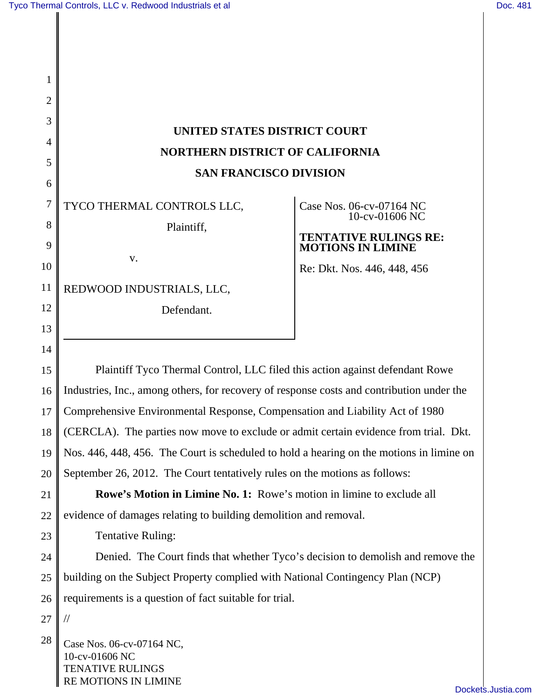| 1                                  |                                                                                                                |                                                                                                                                       |
|------------------------------------|----------------------------------------------------------------------------------------------------------------|---------------------------------------------------------------------------------------------------------------------------------------|
| $\overline{2}$                     |                                                                                                                |                                                                                                                                       |
| 3                                  | <b>UNITED STATES DISTRICT COURT</b><br><b>NORTHERN DISTRICT OF CALIFORNIA</b><br><b>SAN FRANCISCO DIVISION</b> |                                                                                                                                       |
| $\overline{4}$                     |                                                                                                                |                                                                                                                                       |
| 5                                  |                                                                                                                |                                                                                                                                       |
| 6<br>7<br>8<br>9<br>10<br>11<br>12 | TYCO THERMAL CONTROLS LLC,<br>Plaintiff,<br>V.<br>REDWOOD INDUSTRIALS, LLC,<br>Defendant.                      | Case Nos. 06-cv-07164 NC<br>10-cv-01606 NC<br><b>TENTATIVE RULINGS RE:</b><br><b>MOTIONS IN LIMINE</b><br>Re: Dkt. Nos. 446, 448, 456 |
| 13                                 |                                                                                                                |                                                                                                                                       |
| 14                                 |                                                                                                                |                                                                                                                                       |
| 15                                 | Plaintiff Tyco Thermal Control, LLC filed this action against defendant Rowe                                   |                                                                                                                                       |
| 16                                 | Industries, Inc., among others, for recovery of response costs and contribution under the                      |                                                                                                                                       |
| 17                                 | Comprehensive Environmental Response, Compensation and Liability Act of 1980                                   |                                                                                                                                       |
| 18                                 | (CERCLA). The parties now move to exclude or admit certain evidence from trial. Dkt.                           |                                                                                                                                       |
| 19                                 | Nos. 446, 448, 456. The Court is scheduled to hold a hearing on the motions in limine on                       |                                                                                                                                       |
| 20                                 | September 26, 2012. The Court tentatively rules on the motions as follows:                                     |                                                                                                                                       |
| 21                                 | Rowe's Motion in Limine No. 1: Rowe's motion in limine to exclude all                                          |                                                                                                                                       |
| 22                                 | evidence of damages relating to building demolition and removal.                                               |                                                                                                                                       |
| 23                                 | <b>Tentative Ruling:</b>                                                                                       |                                                                                                                                       |
| 24                                 | Denied. The Court finds that whether Tyco's decision to demolish and remove the                                |                                                                                                                                       |
| 25                                 | building on the Subject Property complied with National Contingency Plan (NCP)                                 |                                                                                                                                       |
| 26                                 | requirements is a question of fact suitable for trial.                                                         |                                                                                                                                       |
| 27                                 |                                                                                                                |                                                                                                                                       |
| 28                                 | Case Nos. 06-cv-07164 NC,<br>10-cv-01606 NC<br><b>TENATIVE RULINGS</b><br>RE MOTIONS IN LIMINE                 |                                                                                                                                       |